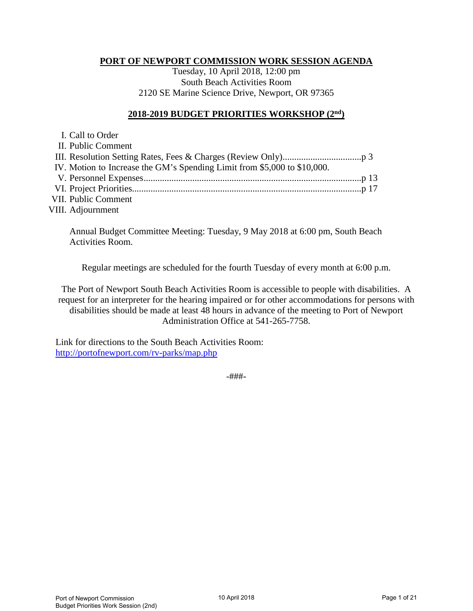## **PORT OF NEWPORT COMMISSION WORK SESSION AGENDA**

Tuesday, 10 April 2018, 12:00 pm South Beach Activities Room 2120 SE Marine Science Drive, Newport, OR 97365

# **2018-2019 BUDGET PRIORITIES WORKSHOP (2nd)**

| I. Call to Order                                                         |  |
|--------------------------------------------------------------------------|--|
| II. Public Comment                                                       |  |
|                                                                          |  |
| IV. Motion to Increase the GM's Spending Limit from \$5,000 to \$10,000. |  |
|                                                                          |  |
|                                                                          |  |
| <b>VII. Public Comment</b>                                               |  |
|                                                                          |  |

VIII. Adjournment

Annual Budget Committee Meeting: Tuesday, 9 May 2018 at 6:00 pm, South Beach Activities Room.

Regular meetings are scheduled for the fourth Tuesday of every month at 6:00 p.m.

The Port of Newport South Beach Activities Room is accessible to people with disabilities. A request for an interpreter for the hearing impaired or for other accommodations for persons with disabilities should be made at least 48 hours in advance of the meeting to Port of Newport Administration Office at 541-265-7758.

Link for directions to the South Beach Activities Room: <http://portofnewport.com/rv-parks/map.php>

-###-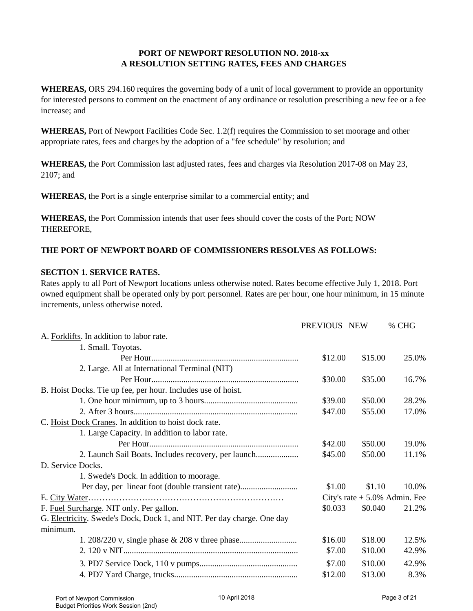# **PORT OF NEWPORT RESOLUTION NO. 2018-xx A RESOLUTION SETTING RATES, FEES AND CHARGES**

**WHEREAS,** ORS 294.160 requires the governing body of a unit of local government to provide an opportunity for interested persons to comment on the enactment of any ordinance or resolution prescribing a new fee or a fee increase; and

**WHEREAS,** Port of Newport Facilities Code Sec. 1.2(f) requires the Commission to set moorage and other appropriate rates, fees and charges by the adoption of a "fee schedule" by resolution; and

**WHEREAS,** the Port Commission last adjusted rates, fees and charges via Resolution 2017-08 on May 23, 2107; and

**WHEREAS,** the Port is a single enterprise similar to a commercial entity; and

**WHEREAS,** the Port Commission intends that user fees should cover the costs of the Port; NOW THEREFORE,

### **THE PORT OF NEWPORT BOARD OF COMMISSIONERS RESOLVES AS FOLLOWS:**

### **SECTION 1. SERVICE RATES.**

Rates apply to all Port of Newport locations unless otherwise noted. Rates become effective July 1, 2018. Port owned equipment shall be operated only by port personnel. Rates are per hour, one hour minimum, in 15 minute increments, unless otherwise noted.

|                                                                        | PREVIOUS NEW |         | % CHG                            |
|------------------------------------------------------------------------|--------------|---------|----------------------------------|
| A. Forklifts. In addition to labor rate.                               |              |         |                                  |
| 1. Small. Toyotas.                                                     |              |         |                                  |
|                                                                        | \$12.00      | \$15.00 | 25.0%                            |
| 2. Large. All at International Terminal (NIT)                          |              |         |                                  |
|                                                                        | \$30.00      | \$35.00 | 16.7%                            |
| B. Hoist Docks. Tie up fee, per hour. Includes use of hoist.           |              |         |                                  |
|                                                                        | \$39.00      | \$50.00 | 28.2%                            |
|                                                                        | \$47.00      | \$55.00 | 17.0%                            |
| C. Hoist Dock Cranes. In addition to hoist dock rate.                  |              |         |                                  |
| 1. Large Capacity. In addition to labor rate.                          |              |         |                                  |
|                                                                        | \$42.00      | \$50.00 | 19.0%                            |
| 2. Launch Sail Boats. Includes recovery, per launch                    | \$45.00      | \$50.00 | 11.1%                            |
| D. Service Docks.                                                      |              |         |                                  |
| 1. Swede's Dock. In addition to moorage.                               |              |         |                                  |
| Per day, per linear foot (double transient rate)                       | \$1.00       | \$1.10  | 10.0%                            |
| E. City Water                                                          |              |         | City's rate $+ 5.0\%$ Admin. Fee |
| F. Fuel Surcharge. NIT only. Per gallon.                               | \$0.033      | \$0.040 | 21.2%                            |
| G. Electricity. Swede's Dock, Dock 1, and NIT. Per day charge. One day |              |         |                                  |
| minimum.                                                               |              |         |                                  |
|                                                                        | \$16.00      | \$18.00 | 12.5%                            |
|                                                                        | \$7.00       | \$10.00 | 42.9%                            |
|                                                                        | \$7.00       | \$10.00 | 42.9%                            |
|                                                                        | \$12.00      | \$13.00 | 8.3%                             |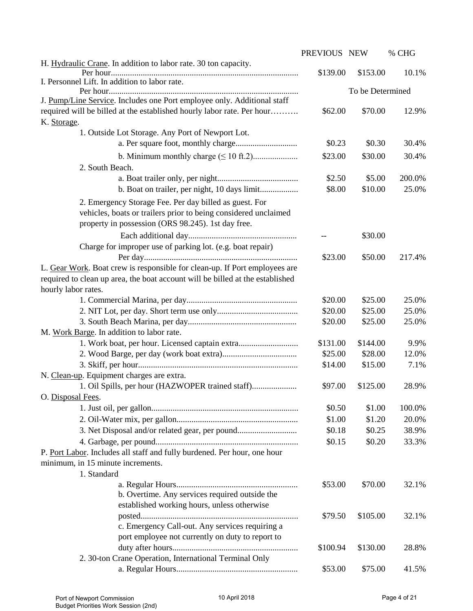|                                                                               | PREVIOUS NEW |                  | % CHG  |
|-------------------------------------------------------------------------------|--------------|------------------|--------|
| H. Hydraulic Crane. In addition to labor rate. 30 ton capacity.               | \$139.00     | \$153.00         | 10.1%  |
| I. Personnel Lift. In addition to labor rate.                                 |              |                  |        |
|                                                                               |              | To be Determined |        |
| J. Pump/Line Service. Includes one Port employee only. Additional staff       |              |                  |        |
| required will be billed at the established hourly labor rate. Per hour        | \$62.00      | \$70.00          | 12.9%  |
| K. Storage.                                                                   |              |                  |        |
| 1. Outside Lot Storage. Any Port of Newport Lot.                              |              |                  |        |
|                                                                               | \$0.23       | \$0.30           | 30.4%  |
|                                                                               | \$23.00      | \$30.00          | 30.4%  |
| 2. South Beach.                                                               |              |                  |        |
|                                                                               | \$2.50       | \$5.00           | 200.0% |
|                                                                               | \$8.00       | \$10.00          | 25.0%  |
| 2. Emergency Storage Fee. Per day billed as guest. For                        |              |                  |        |
| vehicles, boats or trailers prior to being considered unclaimed               |              |                  |        |
| property in possession (ORS 98.245). 1st day free.                            |              |                  |        |
|                                                                               |              | \$30.00          |        |
| Charge for improper use of parking lot. (e.g. boat repair)                    |              |                  |        |
|                                                                               | \$23.00      | \$50.00          | 217.4% |
| L. Gear Work. Boat crew is responsible for clean-up. If Port employees are    |              |                  |        |
| required to clean up area, the boat account will be billed at the established |              |                  |        |
| hourly labor rates.                                                           |              |                  |        |
|                                                                               | \$20.00      | \$25.00          | 25.0%  |
|                                                                               | \$20.00      | \$25.00          | 25.0%  |
|                                                                               | \$20.00      | \$25.00          | 25.0%  |
| M. Work Barge. In addition to labor rate.                                     |              |                  |        |
| 1. Work boat, per hour. Licensed captain extra                                | \$131.00     | \$144.00         | 9.9%   |
|                                                                               | \$25.00      | \$28.00          | 12.0%  |
|                                                                               | \$14.00      | \$15.00          | 7.1%   |
| N. Clean-up. Equipment charges are extra.                                     |              |                  |        |
| 1. Oil Spills, per hour (HAZWOPER trained staff)                              | \$97.00      | \$125.00         | 28.9%  |
| O. Disposal Fees.                                                             |              |                  |        |
|                                                                               | \$0.50       | \$1.00           | 100.0% |
|                                                                               | \$1.00       | \$1.20           | 20.0%  |
| 3. Net Disposal and/or related gear, per pound                                | \$0.18       | \$0.25           | 38.9%  |
|                                                                               | \$0.15       | \$0.20           | 33.3%  |
| P. Port Labor. Includes all staff and fully burdened. Per hour, one hour      |              |                  |        |
| minimum, in 15 minute increments.                                             |              |                  |        |
| 1. Standard                                                                   |              |                  |        |
|                                                                               | \$53.00      | \$70.00          | 32.1%  |
| b. Overtime. Any services required outside the                                |              |                  |        |
| established working hours, unless otherwise                                   |              |                  |        |
|                                                                               | \$79.50      | \$105.00         | 32.1%  |
| c. Emergency Call-out. Any services requiring a                               |              |                  |        |
| port employee not currently on duty to report to                              |              |                  |        |
|                                                                               | \$100.94     | \$130.00         | 28.8%  |
| 2. 30-ton Crane Operation, International Terminal Only                        |              |                  |        |
|                                                                               | \$53.00      | \$75.00          | 41.5%  |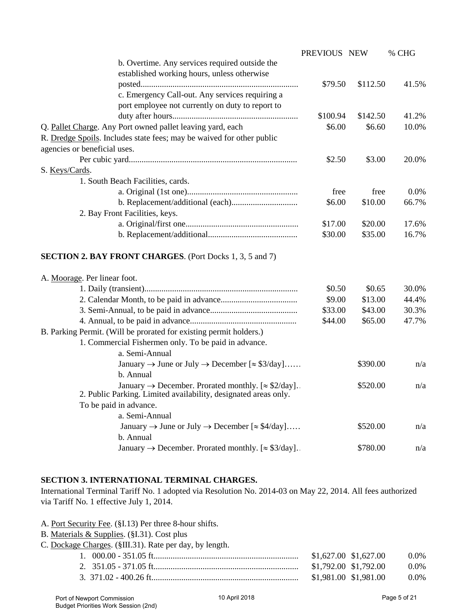|                                                                                | PREVIOUS NEW |          | % CHG |
|--------------------------------------------------------------------------------|--------------|----------|-------|
| b. Overtime. Any services required outside the                                 |              |          |       |
| established working hours, unless otherwise                                    |              |          |       |
|                                                                                | \$79.50      | \$112.50 | 41.5% |
| c. Emergency Call-out. Any services requiring a                                |              |          |       |
| port employee not currently on duty to report to                               |              |          |       |
|                                                                                | \$100.94     | \$142.50 | 41.2% |
| Q. Pallet Charge. Any Port owned pallet leaving yard, each                     | \$6.00       | \$6.60   | 10.0% |
| R. Dredge Spoils. Includes state fees; may be waived for other public          |              |          |       |
| agencies or beneficial uses.                                                   |              |          |       |
|                                                                                | \$2.50       | \$3.00   | 20.0% |
| S. Keys/Cards.                                                                 |              |          |       |
| 1. South Beach Facilities, cards.                                              |              |          |       |
|                                                                                | free         | free     | 0.0%  |
|                                                                                | \$6.00       | \$10.00  | 66.7% |
| 2. Bay Front Facilities, keys.                                                 |              |          |       |
|                                                                                | \$17.00      | \$20.00  | 17.6% |
|                                                                                | \$30.00      | \$35.00  | 16.7% |
|                                                                                |              |          |       |
| <b>SECTION 2. BAY FRONT CHARGES.</b> (Port Docks 1, 3, 5 and 7)                |              |          |       |
|                                                                                |              |          |       |
| A. Moorage. Per linear foot.                                                   |              |          |       |
|                                                                                | \$0.50       | \$0.65   | 30.0% |
|                                                                                | \$9.00       | \$13.00  | 44.4% |
|                                                                                | \$33.00      | \$43.00  | 30.3% |
|                                                                                | \$44.00      | \$65.00  | 47.7% |
| B. Parking Permit. (Will be prorated for existing permit holders.)             |              |          |       |
| 1. Commercial Fishermen only. To be paid in advance.                           |              |          |       |
| a. Semi-Annual                                                                 |              |          |       |
| January $\rightarrow$ June or July $\rightarrow$ December [ $\approx$ \$3/day] |              | \$390.00 | n/a   |
| b. Annual                                                                      |              |          |       |
| January $\rightarrow$ December. Prorated monthly. [ $\approx$ \$2/day].        |              | \$520.00 | n/a   |
| 2. Public Parking. Limited availability, designated areas only.                |              |          |       |
| To be paid in advance.                                                         |              |          |       |
| a. Semi-Annual                                                                 |              |          |       |
| January $\rightarrow$ June or July $\rightarrow$ December [ $\approx$ \$4/day] |              | \$520.00 | n/a   |
| b. Annual                                                                      |              |          |       |
| January $\rightarrow$ December. Prorated monthly. [ $\approx$ \$3/day].        |              | \$780.00 | n/a   |
|                                                                                |              |          |       |

## **SECTION 3. INTERNATIONAL TERMINAL CHARGES.**

International Terminal Tariff No. 1 adopted via Resolution No. 2014-03 on May 22, 2014. All fees authorized via Tariff No. 1 effective July 1, 2014.

- A. Port Security Fee. (§I.13) Per three 8-hour shifts.
- B. Materials & Supplies. (§I.31). Cost plus
- C. Dockage Charges. (§III.31). Rate per day, by length.

| $$1,627.00$ $$1,627.00$ | $0.0\%$ |
|-------------------------|---------|
| \$1,792.00 \$1,792.00   | $0.0\%$ |
| \$1,981.00 \$1,981.00   | $0.0\%$ |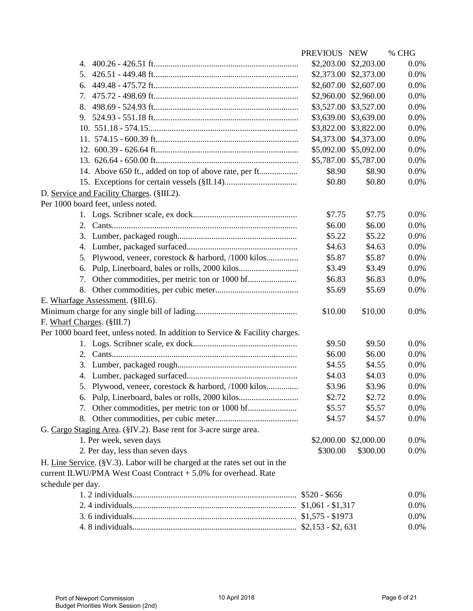|                                                                                    | PREVIOUS NEW |                       | % CHG |
|------------------------------------------------------------------------------------|--------------|-----------------------|-------|
| 4.                                                                                 |              | \$2,203.00 \$2,203.00 | 0.0%  |
| 5.                                                                                 |              | \$2,373.00 \$2,373.00 | 0.0%  |
| 6.                                                                                 |              | \$2,607.00 \$2,607.00 | 0.0%  |
| 7.                                                                                 |              | \$2,960.00 \$2,960.00 | 0.0%  |
| 8.                                                                                 | \$3,527.00   | \$3,527.00            | 0.0%  |
| 9.                                                                                 | \$3,639.00   | \$3,639.00            | 0.0%  |
|                                                                                    | \$3,822.00   | \$3,822.00            | 0.0%  |
|                                                                                    | \$4,373.00   | \$4,373.00            | 0.0%  |
|                                                                                    |              | \$5,092.00 \$5,092.00 | 0.0%  |
|                                                                                    |              | \$5,787.00 \$5,787.00 | 0.0%  |
| 14. Above 650 ft., added on top of above rate, per ft                              | \$8.90       | \$8.90                | 0.0%  |
|                                                                                    | \$0.80       | \$0.80                | 0.0%  |
| D. Service and Facility Charges. (§III.2).                                         |              |                       |       |
| Per 1000 board feet, unless noted.                                                 |              |                       |       |
|                                                                                    | \$7.75       | \$7.75                | 0.0%  |
| 2.                                                                                 | \$6.00       | \$6.00                | 0.0%  |
| 3.                                                                                 | \$5.22       | \$5.22                | 0.0%  |
| 4.                                                                                 | \$4.63       | \$4.63                | 0.0%  |
| Plywood, veneer, corestock & harbord, /1000 kilos<br>5.                            | \$5.87       | \$5.87                | 0.0%  |
| 6.                                                                                 | \$3.49       | \$3.49                | 0.0%  |
| 7.                                                                                 | \$6.83       | \$6.83                | 0.0%  |
| 8.                                                                                 | \$5.69       | \$5.69                | 0.0%  |
| E. Wharfage Assessment. (§III.6).                                                  |              |                       |       |
|                                                                                    | \$10.00      | \$10.00               | 0.0%  |
| F. Wharf Charges. (§III.7)                                                         |              |                       |       |
| Per 1000 board feet, unless noted. In addition to Service & Facility charges.      |              |                       |       |
|                                                                                    | \$9.50       | \$9.50                | 0.0%  |
| 2.                                                                                 | \$6.00       | \$6.00                | 0.0%  |
| 3.                                                                                 | \$4.55       | \$4.55                | 0.0%  |
| 4.                                                                                 | \$4.03       | \$4.03                | 0.0%  |
| 5. Plywood, veneer, corestock & harbord, /1000 kilos                               | \$3.96       | \$3.96                | 0.0%  |
| 6. Pulp, Linerboard, bales or rolls, 2000 kilos                                    | \$2.72       | \$2.72                | 0.0%  |
|                                                                                    | \$5.57       | \$5.57                | 0.0%  |
|                                                                                    | \$4.57       | \$4.57                | 0.0%  |
| G. Cargo Staging Area. (§IV.2). Base rent for 3-acre surge area.                   |              |                       |       |
| 1. Per week, seven days                                                            |              | \$2,000.00 \$2,000.00 | 0.0%  |
| 2. Per day, less than seven days                                                   | \$300.00     | \$300.00              | 0.0%  |
| H. Line Service. ( $\gamma$ .3). Labor will be charged at the rates set out in the |              |                       |       |
| current ILWU/PMA West Coast Contract + 5.0% for overhead. Rate                     |              |                       |       |
| schedule per day.                                                                  |              |                       |       |
|                                                                                    |              |                       | 0.0%  |
|                                                                                    |              |                       | 0.0%  |
|                                                                                    |              |                       | 0.0%  |
|                                                                                    |              |                       | 0.0%  |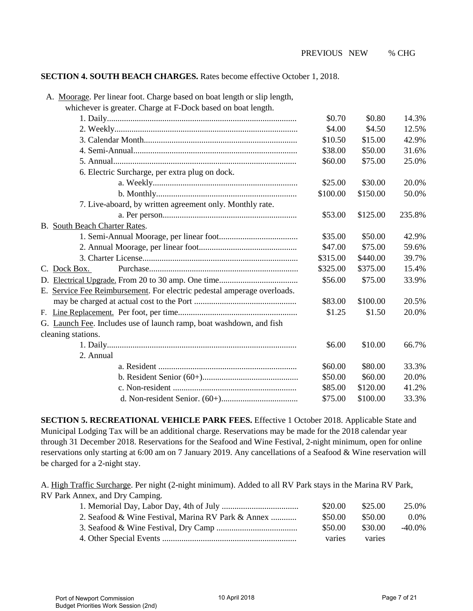### **SECTION 4. SOUTH BEACH CHARGES.** Rates become effective October 1, 2018.

| A. Moorage. Per linear foot. Charge based on boat length or slip length, |          |          |        |
|--------------------------------------------------------------------------|----------|----------|--------|
| whichever is greater. Charge at F-Dock based on boat length.             |          |          |        |
|                                                                          | \$0.70   | \$0.80   | 14.3%  |
|                                                                          | \$4.00   | \$4.50   | 12.5%  |
|                                                                          | \$10.50  | \$15.00  | 42.9%  |
|                                                                          | \$38.00  | \$50.00  | 31.6%  |
|                                                                          | \$60.00  | \$75.00  | 25.0%  |
| 6. Electric Surcharge, per extra plug on dock.                           |          |          |        |
|                                                                          | \$25.00  | \$30.00  | 20.0%  |
|                                                                          | \$100.00 | \$150.00 | 50.0%  |
| 7. Live-aboard, by written agreement only. Monthly rate.                 |          |          |        |
|                                                                          | \$53.00  | \$125.00 | 235.8% |
| B. South Beach Charter Rates.                                            |          |          |        |
|                                                                          | \$35.00  | \$50.00  | 42.9%  |
|                                                                          | \$47.00  | \$75.00  | 59.6%  |
|                                                                          | \$315.00 | \$440.00 | 39.7%  |
| C. Dock Box.                                                             | \$325.00 | \$375.00 | 15.4%  |
|                                                                          | \$56.00  | \$75.00  | 33.9%  |
| E. Service Fee Reimbursement. For electric pedestal amperage overloads.  |          |          |        |
|                                                                          | \$83.00  | \$100.00 | 20.5%  |
|                                                                          | \$1.25   | \$1.50   | 20.0%  |
| G. Launch Fee. Includes use of launch ramp, boat washdown, and fish      |          |          |        |
| cleaning stations.                                                       |          |          |        |
|                                                                          | \$6.00   | \$10.00  | 66.7%  |
| 2. Annual                                                                |          |          |        |
|                                                                          | \$60.00  | \$80.00  | 33.3%  |
|                                                                          | \$50.00  | \$60.00  | 20.0%  |
|                                                                          | \$85.00  | \$120.00 | 41.2%  |
|                                                                          | \$75.00  | \$100.00 | 33.3%  |

**SECTION 5. RECREATIONAL VEHICLE PARK FEES.** Effective 1 October 2018. Applicable State and Municipal Lodging Tax will be an additional charge. Reservations may be made for the 2018 calendar year through 31 December 2018. Reservations for the Seafood and Wine Festival, 2-night minimum, open for online reservations only starting at 6:00 am on 7 January 2019. Any cancellations of a Seafood & Wine reservation will be charged for a 2-night stay.

A. High Traffic Surcharge. Per night (2-night minimum). Added to all RV Park stays in the Marina RV Park, RV Park Annex, and Dry Camping.

|                                                    | \$20.00 | \$25.00   | 25.0%     |
|----------------------------------------------------|---------|-----------|-----------|
| 2. Seafood & Wine Festival, Marina RV Park & Annex | \$50.00 | - \$50.00 | $0.0\%$   |
|                                                    | \$50.00 | \$30.00   | $-40.0\%$ |
|                                                    | varies  | varies    |           |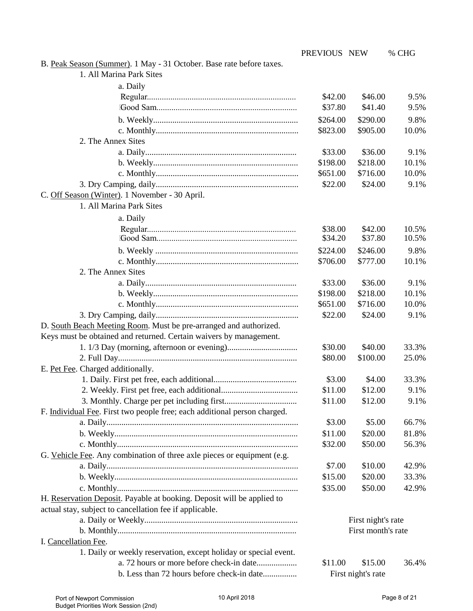|                                                                                                              | PREVIOUS NEW |                    | % CHG |
|--------------------------------------------------------------------------------------------------------------|--------------|--------------------|-------|
| B. Peak Season (Summer). 1 May - 31 October. Base rate before taxes.                                         |              |                    |       |
| 1. All Marina Park Sites                                                                                     |              |                    |       |
| a. Daily                                                                                                     |              |                    |       |
|                                                                                                              | \$42.00      | \$46.00            | 9.5%  |
|                                                                                                              | \$37.80      | \$41.40            | 9.5%  |
|                                                                                                              | \$264.00     | \$290.00           | 9.8%  |
|                                                                                                              | \$823.00     | \$905.00           | 10.0% |
| 2. The Annex Sites                                                                                           |              |                    |       |
|                                                                                                              | \$33.00      | \$36.00            | 9.1%  |
|                                                                                                              | \$198.00     | \$218.00           | 10.1% |
|                                                                                                              | \$651.00     | \$716.00           | 10.0% |
|                                                                                                              | \$22.00      | \$24.00            | 9.1%  |
| C. Off Season (Winter). 1 November - 30 April.                                                               |              |                    |       |
| 1. All Marina Park Sites                                                                                     |              |                    |       |
| a. Daily                                                                                                     |              |                    |       |
|                                                                                                              | \$38.00      | \$42.00            | 10.5% |
|                                                                                                              | \$34.20      | \$37.80            | 10.5% |
|                                                                                                              | \$224.00     | \$246.00           | 9.8%  |
|                                                                                                              | \$706.00     | \$777.00           | 10.1% |
| 2. The Annex Sites                                                                                           |              |                    |       |
|                                                                                                              | \$33.00      | \$36.00            | 9.1%  |
|                                                                                                              | \$198.00     | \$218.00           | 10.1% |
|                                                                                                              | \$651.00     | \$716.00           | 10.0% |
|                                                                                                              | \$22.00      | \$24.00            | 9.1%  |
| D. South Beach Meeting Room. Must be pre-arranged and authorized.                                            |              |                    |       |
| Keys must be obtained and returned. Certain waivers by management.                                           |              |                    |       |
|                                                                                                              | \$30.00      | \$40.00            | 33.3% |
|                                                                                                              | \$80.00      | \$100.00           | 25.0% |
| E. Pet Fee. Charged additionally.                                                                            |              |                    |       |
|                                                                                                              | \$3.00       | \$4.00             | 33.3% |
|                                                                                                              | \$11.00      | \$12.00            | 9.1%  |
|                                                                                                              | \$11.00      | \$12.00            | 9.1%  |
| F. Individual Fee. First two people free; each additional person charged.                                    |              |                    |       |
|                                                                                                              | \$3.00       | \$5.00             | 66.7% |
|                                                                                                              | \$11.00      | \$20.00            | 81.8% |
|                                                                                                              | \$32.00      | \$50.00            | 56.3% |
| G. Vehicle Fee. Any combination of three axle pieces or equipment (e.g.                                      |              |                    |       |
|                                                                                                              | \$7.00       | \$10.00            | 42.9% |
|                                                                                                              | \$15.00      | \$20.00            | 33.3% |
|                                                                                                              | \$35.00      | \$50.00            | 42.9% |
| H. Reservation Deposit. Payable at booking. Deposit will be applied to                                       |              |                    |       |
| actual stay, subject to cancellation fee if applicable.                                                      |              |                    |       |
|                                                                                                              |              | First night's rate |       |
|                                                                                                              |              | First month's rate |       |
| I. Cancellation Fee.                                                                                         |              |                    |       |
| 1. Daily or weekly reservation, except holiday or special event.<br>a. 72 hours or more before check-in date |              |                    |       |
|                                                                                                              | \$11.00      | \$15.00            | 36.4% |
| b. Less than 72 hours before check-in date                                                                   |              | First night's rate |       |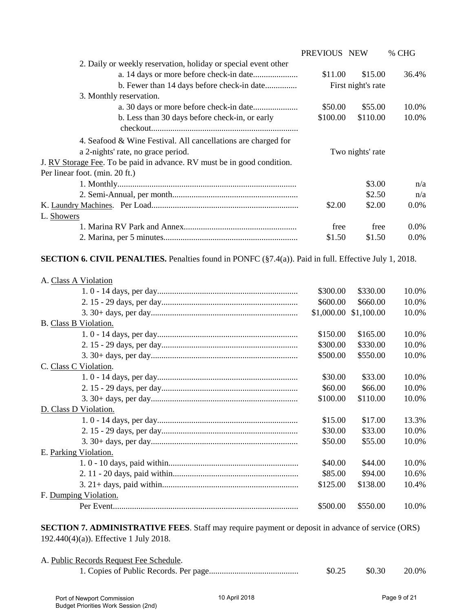|                                                                         | PREVIOUS NEW |                    | % CHG   |
|-------------------------------------------------------------------------|--------------|--------------------|---------|
| 2. Daily or weekly reservation, holiday or special event other          |              |                    |         |
|                                                                         | \$11.00      | \$15.00            | 36.4%   |
|                                                                         |              | First night's rate |         |
| 3. Monthly reservation.                                                 |              |                    |         |
|                                                                         | \$50.00      | \$55.00            | 10.0%   |
| b. Less than 30 days before check-in, or early                          | \$100.00     | \$110.00           | 10.0%   |
|                                                                         |              |                    |         |
| 4. Seafood & Wine Festival. All cancellations are charged for           |              |                    |         |
| a 2-nights' rate, no grace period.                                      |              | Two nights' rate   |         |
| J. RV Storage Fee. To be paid in advance. RV must be in good condition. |              |                    |         |
| Per linear foot. (min. 20 ft.)                                          |              |                    |         |
|                                                                         |              | \$3.00             | n/a     |
|                                                                         |              | \$2.50             | n/a     |
|                                                                         | \$2.00       | \$2.00             | $0.0\%$ |
| L. Showers                                                              |              |                    |         |
|                                                                         | free         | free               | $0.0\%$ |
|                                                                         | \$1.50       | \$1.50             | $0.0\%$ |
|                                                                         |              |                    |         |

**SECTION 6. CIVIL PENALTIES.** Penalties found in PONFC (§7.4(a)). Paid in full. Effective July 1, 2018.

| A. Class A Violation  |          |                       |       |
|-----------------------|----------|-----------------------|-------|
|                       | \$300.00 | \$330.00              | 10.0% |
|                       | \$600.00 | \$660.00              | 10.0% |
|                       |          | \$1,000.00 \$1,100.00 | 10.0% |
| B. Class B Violation. |          |                       |       |
|                       | \$150.00 | \$165.00              | 10.0% |
|                       | \$300.00 | \$330.00              | 10.0% |
|                       | \$500.00 | \$550.00              | 10.0% |
| C. Class C Violation. |          |                       |       |
|                       | \$30.00  | \$33.00               | 10.0% |
|                       | \$60.00  | \$66.00               | 10.0% |
|                       | \$100.00 | \$110.00              | 10.0% |
| D. Class D Violation. |          |                       |       |
|                       | \$15.00  | \$17.00               | 13.3% |
|                       | \$30.00  | \$33.00               | 10.0% |
|                       | \$50.00  | \$55.00               | 10.0% |
| E. Parking Violation. |          |                       |       |
|                       | \$40.00  | \$44.00               | 10.0% |
|                       | \$85.00  | \$94.00               | 10.6% |
|                       | \$125.00 | \$138.00              | 10.4% |
| F. Dumping Violation. |          |                       |       |
|                       | \$500.00 | \$550.00              | 10.0% |
|                       |          |                       |       |

**SECTION 7. ADMINISTRATIVE FEES**. Staff may require payment or deposit in advance of service (ORS) 192.440(4)(a)). Effective 1 July 2018.

| A. Public Records Request Fee Schedule. |        |        |       |
|-----------------------------------------|--------|--------|-------|
|                                         | \$0.25 | \$0.30 | 20.0% |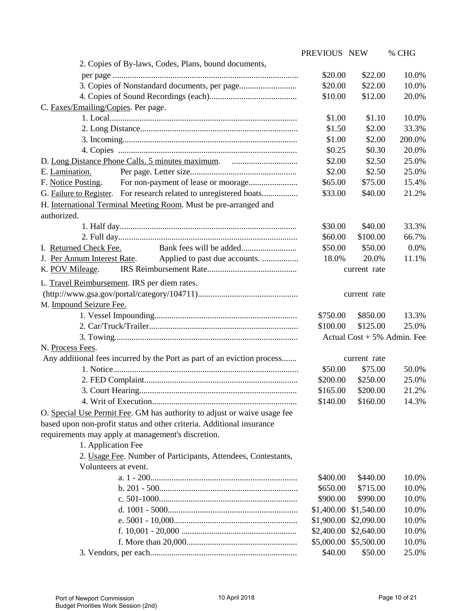|                                                                          | PREVIOUS NEW |              | % CHG                          |
|--------------------------------------------------------------------------|--------------|--------------|--------------------------------|
| 2. Copies of By-laws, Codes, Plans, bound documents,                     |              |              |                                |
|                                                                          | \$20.00      | \$22.00      | 10.0%                          |
|                                                                          | \$20.00      | \$22.00      | 10.0%                          |
|                                                                          | \$10.00      | \$12.00      | 20.0%                          |
| C. Faxes/Emailing/Copies. Per page.                                      |              |              |                                |
|                                                                          | \$1.00       | \$1.10       | 10.0%                          |
|                                                                          | \$1.50       | \$2.00       | 33.3%                          |
|                                                                          | \$1.00       | \$2.00       | 200.0%                         |
|                                                                          | \$0.25       | \$0.30       | 20.0%                          |
|                                                                          | \$2.00       | \$2.50       | 25.0%                          |
| E. Lamination.                                                           | \$2.00       | \$2.50       | 25.0%                          |
| F. Notice Posting.                                                       | \$65.00      | \$75.00      | 15.4%                          |
| G. Failure to Register. For research related to unregistered boats       | \$33.00      | \$40.00      | 21.2%                          |
| H. International Terminal Meeting Room. Must be pre-arranged and         |              |              |                                |
| authorized.                                                              |              |              |                                |
|                                                                          | \$30.00      | \$40.00      | 33.3%                          |
|                                                                          | \$60.00      | \$100.00     | 66.7%                          |
| I. Returned Check Fee.                                                   | \$50.00      | \$50.00      | 0.0%                           |
| J. Per Annum Interest Rate.                                              | 18.0%        | 20.0%        | 11.1%                          |
| K. POV Mileage.                                                          |              | current rate |                                |
| L. Travel Reimbursement. IRS per diem rates.                             |              |              |                                |
| $(http://www.gsa.gov/portal/category/104711)$                            |              |              |                                |
| M. Impound Seizure Fee.                                                  |              | current rate |                                |
|                                                                          | \$750.00     | \$850.00     | 13.3%                          |
|                                                                          | \$100.00     | \$125.00     | 25.0%                          |
|                                                                          |              |              | Actual $Cost + 5\%$ Admin. Fee |
| N. Process Fees.                                                         |              |              |                                |
| Any additional fees incurred by the Port as part of an eviction process  |              | current rate |                                |
|                                                                          | \$50.00      | \$75.00      | 50.0%                          |
|                                                                          | \$200.00     | \$250.00     | 25.0%                          |
|                                                                          | \$165.00     | \$200.00     | 21.2%                          |
|                                                                          | \$140.00     | \$160.00     | 14.3%                          |
|                                                                          |              |              |                                |
| O. Special Use Permit Fee. GM has authority to adjust or waive usage fee |              |              |                                |
| based upon non-profit status and other criteria. Additional insurance    |              |              |                                |
| requirements may apply at management's discretion.                       |              |              |                                |
| 1. Application Fee                                                       |              |              |                                |
| 2. Usage Fee. Number of Participants, Attendees, Contestants,            |              |              |                                |
| Volunteers at event.                                                     |              |              |                                |
|                                                                          | \$400.00     | \$440.00     | 10.0%                          |
|                                                                          | \$650.00     | \$715.00     | 10.0%                          |
|                                                                          | \$900.00     | \$990.00     | 10.0%                          |
|                                                                          | \$1,400.00   | \$1,540.00   | 10.0%                          |
|                                                                          | \$1,900.00   | \$2,090.00   | 10.0%                          |
|                                                                          | \$2,400.00   | \$2,640.00   | 10.0%                          |
|                                                                          | \$5,000.00   | \$5,500.00   | 10.0%                          |
|                                                                          | \$40.00      | \$50.00      | 25.0%                          |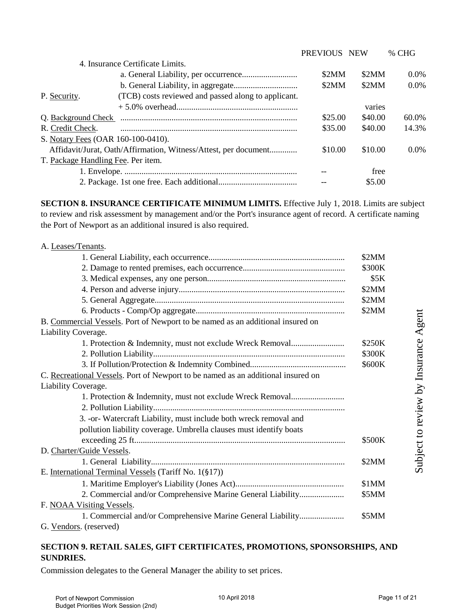|                                                                     | PREVIOUS NEW |         | $%$ CHG  |
|---------------------------------------------------------------------|--------------|---------|----------|
| 4. Insurance Certificate Limits.                                    |              |         |          |
|                                                                     | \$2MM        | \$2MM   | $0.0\%$  |
|                                                                     | \$2MM        | \$2MM   | $0.0\%$  |
| (TCB) costs reviewed and passed along to applicant.<br>P. Security. |              |         |          |
|                                                                     |              | varies  |          |
| Q. Background Check                                                 | \$25.00      | \$40.00 | $60.0\%$ |
| R. Credit Check.                                                    | \$35.00      | \$40.00 | 14.3%    |
| S. Notary Fees (OAR 160-100-0410).                                  |              |         |          |
| Affidavit/Jurat, Oath/Affirmation, Witness/Attest, per document     | \$10.00      | \$10.00 | $0.0\%$  |
| T. Package Handling Fee. Per item.                                  |              |         |          |
|                                                                     |              | free    |          |
|                                                                     |              | \$5.00  |          |

**SECTION 8. INSURANCE CERTIFICATE MINIMUM LIMITS.** Effective July 1, 2018. Limits are subject to review and risk assessment by management and/or the Port's insurance agent of record. A certificate naming the Port of Newport as an additional insured is also required.

| A. Leases/Tenants.                                                               |        |
|----------------------------------------------------------------------------------|--------|
|                                                                                  | \$2MM  |
|                                                                                  | \$300K |
|                                                                                  | \$5K   |
|                                                                                  | \$2MM  |
|                                                                                  | \$2MM  |
|                                                                                  | \$2MM  |
| B. Commercial Vessels. Port of Newport to be named as an additional insured on   |        |
| Liability Coverage.                                                              |        |
| 1. Protection & Indemnity, must not exclude Wreck Removal                        | \$250K |
|                                                                                  | \$300K |
|                                                                                  | \$600K |
| C. Recreational Vessels. Port of Newport to be named as an additional insured on |        |
| Liability Coverage.                                                              |        |
| 1. Protection & Indemnity, must not exclude Wreck Removal                        |        |
|                                                                                  |        |
| 3. - or- Watercraft Liability, must include both wreck removal and               |        |
| pollution liability coverage. Umbrella clauses must identify boats               |        |
|                                                                                  | \$500K |
| D. Charter/Guide Vessels.                                                        |        |
|                                                                                  | \$2MM  |
| E. International Terminal Vessels (Tariff No. 1(§17))                            |        |
|                                                                                  | \$1MM  |
| 2. Commercial and/or Comprehensive Marine General Liability                      | \$5MM  |
| F. NOAA Visiting Vessels.                                                        |        |
| 1. Commercial and/or Comprehensive Marine General Liability                      | \$5MM  |
| G. Vendors. (reserved)                                                           |        |

# **SECTION 9. RETAIL SALES, GIFT CERTIFICATES, PROMOTIONS, SPONSORSHIPS, AND SUNDRIES.**

Commission delegates to the General Manager the ability to set prices.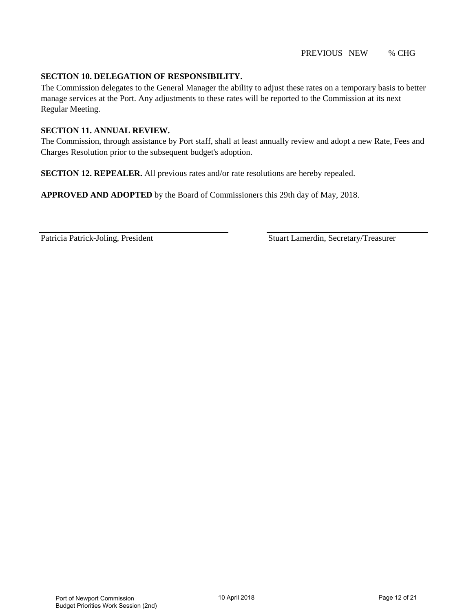### **SECTION 10. DELEGATION OF RESPONSIBILITY.**

The Commission delegates to the General Manager the ability to adjust these rates on a temporary basis to better manage services at the Port. Any adjustments to these rates will be reported to the Commission at its next Regular Meeting.

### **SECTION 11. ANNUAL REVIEW.**

The Commission, through assistance by Port staff, shall at least annually review and adopt a new Rate, Fees and Charges Resolution prior to the subsequent budget's adoption.

**SECTION 12. REPEALER.** All previous rates and/or rate resolutions are hereby repealed.

**APPROVED AND ADOPTED** by the Board of Commissioners this 29th day of May, 2018.

Patricia Patrick-Joling, President Stuart Lamerdin, Secretary/Treasurer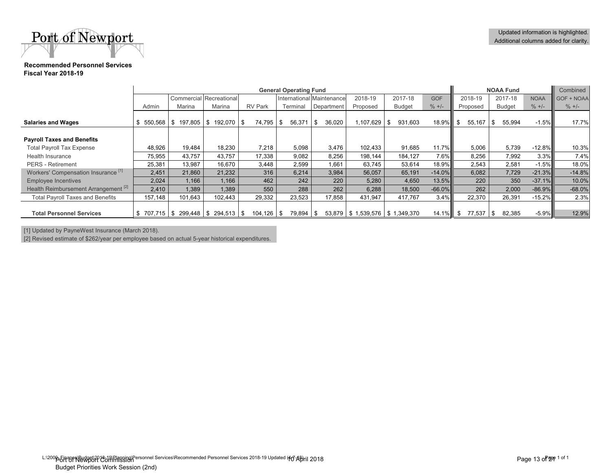Port of Newport

#### **Recommended Personnel ServicesFiscal Year 2018-19**

|                                                 |                                |               |                      |                           | <b>General Operating Fund</b> |              |                                    |                 |                   | <b>NOAA Fund</b> |               |            | Combined |
|-------------------------------------------------|--------------------------------|---------------|----------------------|---------------------------|-------------------------------|--------------|------------------------------------|-----------------|-------------------|------------------|---------------|------------|----------|
|                                                 | <b>Commercial Recreational</b> |               |                      | International Maintenance |                               | 2018-19      | 2017-18                            | <b>GOF</b>      | 2018-19           | 2017-18          | <b>NOAA</b>   | GOF + NOAA |          |
|                                                 | Admin                          | Marina        | Marina               | <b>RV Park</b>            | Terminal                      | Department   | Proposed                           | <b>Budget</b>   | $\frac{9}{6}$ +/- | Proposed         | <b>Budget</b> | $\% +/-$   | $\% +/-$ |
|                                                 |                                |               |                      |                           |                               |              |                                    |                 |                   |                  |               |            |          |
| <b>Salaries and Wages</b>                       | 550,568<br>S.                  | \$<br>197,805 | \$192.070            | 74,795<br>\$              | 56,371<br>S                   | 36,020<br>\$ | ,107,629                           | 931,603<br>- \$ | 18.9%             | 55,167<br>\$     | 55,994        | $-1.5%$    | 17.7%    |
| <b>Payroll Taxes and Benefits</b>               |                                |               |                      |                           |                               |              |                                    |                 |                   |                  |               |            |          |
| <b>Total Payroll Tax Expense</b>                | 48,926                         | 19,484        | 18,230               | 7,218                     | 5,098                         | 3,476        | 102,433                            | 91.685          | 11.7%             | 5,006            | 5,739         | $-12.8\%$  | 10.3%    |
| <b>Health Insurance</b>                         | 75,955                         | 43.757        | 43,757               | 17,338                    | 9,082                         | 8.256        | 198.144                            | 184,127         | $7.6\%$           | 8,256            | 7,992         | $3.3\%$    | 7.4%     |
| <b>PERS</b> - Retirement                        | 25,381                         | 13,987        | 16,670               | 3.448                     | 2,599                         | 1,661        | 63.745                             | 53,614          | 18.9%             | 2.543            | 2,581         | $-1.5%$    | 18.0%    |
| Workers' Compensation Insurance <sup>[1]</sup>  | 2,451                          | 21,860        | 21,232               | 316                       | 6,214                         | 3,984        | 56,057                             | 65,191          | $-14.0\%$         | 6,082            | 7.729         | $-21.3%$   | $-14.8%$ |
| <b>Employee Incentives</b>                      | 2,024                          | 1,166         | 1,166                | 462                       | 242                           | 220          | 5,280                              | 4,650           | 13.5%             | 220              | 350           | $-37.1%$   | 10.0%    |
| Health Reimbursement Arrangement <sup>[2]</sup> | 2,410                          | 1.389         | 1.389                | 550                       | 288                           | 262          | 6.288                              | 18.500          | $-66.0\%$         | 262              | 2.000         | $-86.9\%$  | $-68.0%$ |
| <b>Total Payroll Taxes and Benefits</b>         | 157,148                        | 101,643       | 102,443              | 29,332                    | 23,523                        | 17,858       | 431,947                            | 417,767         | $3.4\%$           | 22,370           | 26,391        | $-15.2\%$  | 2.3%     |
| <b>Total Personnel Services</b>                 |                                |               | 299,448   \$ 294,513 | 104,126<br>S              | 79,894<br>\$                  | -\$          | 53,879   \$1,539,576   \$1,349,370 |                 | $14.1\%$          | 77,537<br>\$     | 82,385<br>\$  | $-5.9\%$   | 12.9%    |

[1] Updated by PayneWest Insurance (March 2018).

[2] Revised estimate of \$262/year per employee based on actual 5-year historical expenditures.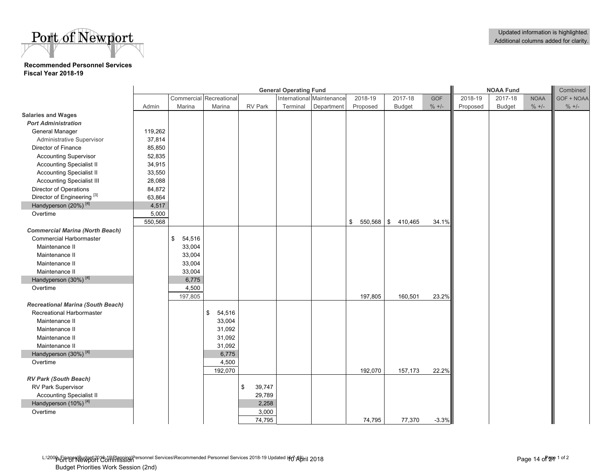# Port of Newport

### **Recommended Personnel ServicesFiscal Year 2018-19**

|                                          |         |              |                         |              | <b>General Operating Fund</b> |                           |                    |               | <b>NOAA Fund</b> |          |               |             | Combined   |
|------------------------------------------|---------|--------------|-------------------------|--------------|-------------------------------|---------------------------|--------------------|---------------|------------------|----------|---------------|-------------|------------|
|                                          |         |              | Commercial Recreational |              |                               | International Maintenance | 2018-19            | 2017-18       | <b>GOF</b>       | 2018-19  | 2017-18       | <b>NOAA</b> | GOF + NOAA |
|                                          | Admin   | Marina       | Marina                  | RV Park      | Terminal                      | Department                | Proposed           | <b>Budget</b> | $\% +/-$         | Proposed | <b>Budget</b> | $\% +/-$    | $\% +/-$   |
| <b>Salaries and Wages</b>                |         |              |                         |              |                               |                           |                    |               |                  |          |               |             |            |
| <b>Port Administration</b>               |         |              |                         |              |                               |                           |                    |               |                  |          |               |             |            |
| General Manager                          | 119,262 |              |                         |              |                               |                           |                    |               |                  |          |               |             |            |
| Administrative Supervisor                | 37,814  |              |                         |              |                               |                           |                    |               |                  |          |               |             |            |
| Director of Finance                      | 85,850  |              |                         |              |                               |                           |                    |               |                  |          |               |             |            |
| <b>Accounting Supervisor</b>             | 52,835  |              |                         |              |                               |                           |                    |               |                  |          |               |             |            |
| <b>Accounting Specialist II</b>          | 34,915  |              |                         |              |                               |                           |                    |               |                  |          |               |             |            |
| <b>Accounting Specialist II</b>          | 33,550  |              |                         |              |                               |                           |                    |               |                  |          |               |             |            |
| <b>Accounting Specialist III</b>         | 28,088  |              |                         |              |                               |                           |                    |               |                  |          |               |             |            |
| Director of Operations                   | 84,872  |              |                         |              |                               |                           |                    |               |                  |          |               |             |            |
| Director of Engineering <sup>[3]</sup>   | 63,864  |              |                         |              |                               |                           |                    |               |                  |          |               |             |            |
| Handyperson (20%) <sup>[4]</sup>         | 4,517   |              |                         |              |                               |                           |                    |               |                  |          |               |             |            |
| Overtime                                 | 5,000   |              |                         |              |                               |                           |                    |               |                  |          |               |             |            |
|                                          | 550,568 |              |                         |              |                               |                           | \$<br>$550,568$ \$ | 410,465       | 34.1%            |          |               |             |            |
| <b>Commercial Marina (North Beach)</b>   |         |              |                         |              |                               |                           |                    |               |                  |          |               |             |            |
| <b>Commercial Harbormaster</b>           |         | \$<br>54,516 |                         |              |                               |                           |                    |               |                  |          |               |             |            |
| Maintenance II                           |         | 33,004       |                         |              |                               |                           |                    |               |                  |          |               |             |            |
| Maintenance II                           |         | 33,004       |                         |              |                               |                           |                    |               |                  |          |               |             |            |
| Maintenance II                           |         | 33,004       |                         |              |                               |                           |                    |               |                  |          |               |             |            |
| Maintenance II                           |         | 33,004       |                         |              |                               |                           |                    |               |                  |          |               |             |            |
| Handyperson (30%) <sup>[4]</sup>         |         | 6,775        |                         |              |                               |                           |                    |               |                  |          |               |             |            |
| Overtime                                 |         | 4,500        |                         |              |                               |                           |                    |               |                  |          |               |             |            |
|                                          |         | 197,805      |                         |              |                               |                           | 197,805            | 160,501       | 23.2%            |          |               |             |            |
| <b>Recreational Marina (South Beach)</b> |         |              |                         |              |                               |                           |                    |               |                  |          |               |             |            |
| Recreational Harbormaster                |         |              | \$<br>54,516            |              |                               |                           |                    |               |                  |          |               |             |            |
| Maintenance II                           |         |              | 33,004                  |              |                               |                           |                    |               |                  |          |               |             |            |
| Maintenance II                           |         |              | 31,092                  |              |                               |                           |                    |               |                  |          |               |             |            |
| Maintenance II                           |         |              | 31,092                  |              |                               |                           |                    |               |                  |          |               |             |            |
| Maintenance II                           |         |              | 31,092                  |              |                               |                           |                    |               |                  |          |               |             |            |
| Handyperson (30%) <sup>[4]</sup>         |         |              | 6,775                   |              |                               |                           |                    |               |                  |          |               |             |            |
| Overtime                                 |         |              | 4,500                   |              |                               |                           |                    |               |                  |          |               |             |            |
|                                          |         |              | 192,070                 |              |                               |                           | 192,070            | 157,173       | 22.2%            |          |               |             |            |
| <b>RV Park (South Beach)</b>             |         |              |                         |              |                               |                           |                    |               |                  |          |               |             |            |
| RV Park Supervisor                       |         |              |                         | 39,747<br>\$ |                               |                           |                    |               |                  |          |               |             |            |
| <b>Accounting Specialist II</b>          |         |              |                         | 29,789       |                               |                           |                    |               |                  |          |               |             |            |
| Handyperson (10%) <sup>[4]</sup>         |         |              |                         | 2,258        |                               |                           |                    |               |                  |          |               |             |            |
| Overtime                                 |         |              |                         | 3,000        |                               |                           |                    |               |                  |          |               |             |            |
|                                          |         |              |                         | 74,795       |                               |                           | 74,795             | 77,370        | $-3.3%$          |          |               |             |            |

L:\2000\_5|ABPA\BUQGBAL&JA\Plagging\Personnel Services\Recommended Personnel Services 2018-19 Updated (40 APril 2018 Budget Priorities Work Session (2nd)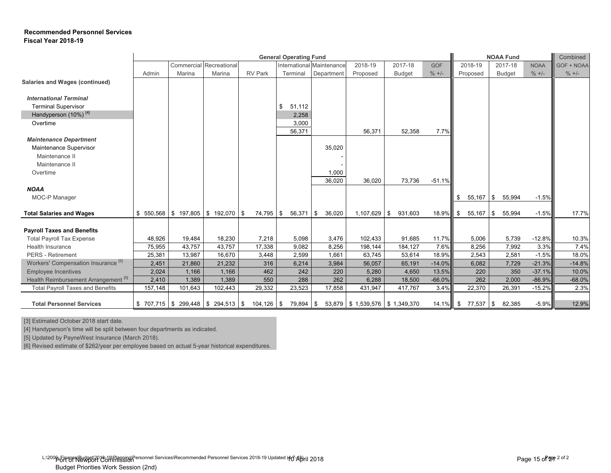### **Recommended Personnel Services Fiscal Year 2018-19**

|                                                 |         |         |                                      |                | <b>General Operating Fund</b> |                           |                                    |               |             | <b>NOAA Fund</b> | Combined      |             |            |
|-------------------------------------------------|---------|---------|--------------------------------------|----------------|-------------------------------|---------------------------|------------------------------------|---------------|-------------|------------------|---------------|-------------|------------|
|                                                 |         |         | Commercial Recreational              |                |                               | International Maintenance | 2018-19                            | 2017-18       | <b>GOF</b>  | 2018-19          | 2017-18       | <b>NOAA</b> | GOF + NOAA |
|                                                 | Admin   | Marina  | Marina                               | <b>RV Park</b> | Terminal                      | Department                | Proposed                           | <b>Budget</b> | $\% +/-$    | Proposed         | <b>Budget</b> | $% +/-$     | $\% +/-$   |
| Salaries and Wages (continued)                  |         |         |                                      |                |                               |                           |                                    |               |             |                  |               |             |            |
|                                                 |         |         |                                      |                |                               |                           |                                    |               |             |                  |               |             |            |
| <b>International Terminal</b>                   |         |         |                                      |                |                               |                           |                                    |               |             |                  |               |             |            |
| <b>Terminal Supervisor</b>                      |         |         |                                      |                | 51,112<br>\$                  |                           |                                    |               |             |                  |               |             |            |
| Handyperson (10%) <sup>[4]</sup>                |         |         |                                      |                | 2,258                         |                           |                                    |               |             |                  |               |             |            |
| Overtime                                        |         |         |                                      |                | 3,000                         |                           |                                    |               |             |                  |               |             |            |
|                                                 |         |         |                                      |                | 56,371                        |                           | 56,371                             | 52,358        | 7.7%        |                  |               |             |            |
| <b>Maintenance Department</b>                   |         |         |                                      |                |                               |                           |                                    |               |             |                  |               |             |            |
| Maintenance Supervisor                          |         |         |                                      |                |                               | 35,020                    |                                    |               |             |                  |               |             |            |
| Maintenance II                                  |         |         |                                      |                |                               |                           |                                    |               |             |                  |               |             |            |
| Maintenance II                                  |         |         |                                      |                |                               |                           |                                    |               |             |                  |               |             |            |
| Overtime                                        |         |         |                                      |                |                               | 1,000                     |                                    |               |             |                  |               |             |            |
|                                                 |         |         |                                      |                |                               | 36,020                    | 36,020                             | 73,736        | $-51.1%$    |                  |               |             |            |
| <b>NOAA</b>                                     |         |         |                                      |                |                               |                           |                                    |               |             |                  |               |             |            |
| MOC-P Manager                                   |         |         |                                      |                |                               |                           |                                    |               |             | \$<br>55,167     | 55,994<br>\$  | $-1.5%$     |            |
| <b>Total Salaries and Wages</b>                 |         |         | $$550,568$ $$197,805$ $$192,070$ $$$ | 74,795         | 56,371<br>\$                  | 36,020<br><b>\$</b>       | $1,107,629$ \$                     | 931,603       | 18.9%       | \$<br>55,167     | \$<br>55,994  | $-1.5%$     | 17.7%      |
|                                                 |         |         |                                      |                |                               |                           |                                    |               |             |                  |               |             |            |
| <b>Payroll Taxes and Benefits</b>               |         |         |                                      |                |                               |                           |                                    |               |             |                  |               |             |            |
| <b>Total Payroll Tax Expense</b>                | 48.926  | 19,484  | 18,230                               | 7,218          | 5,098                         | 3,476                     | 102,433                            | 91.685        | 11.7%       | 5,006            | 5.739         | $-12.8%$    | 10.3%      |
| <b>Health Insurance</b>                         | 75,955  | 43,757  | 43,757                               | 17,338         | 9,082                         | 8,256                     | 198,144                            | 184,127       | 7.6%        | 8,256            | 7,992         | 3.3%        | 7.4%       |
| <b>PERS</b> - Retirement                        | 25,381  | 13,987  | 16,670                               | 3,448          | 2,599                         | 1.661                     | 63,745                             | 53,614        | 18.9%       | 2,543            | 2.581         | $-1.5%$     | 18.0%      |
| Workers' Compensation Insurance <sup>[5]</sup>  | 2,451   | 21,860  | 21,232                               | 316            | 6,214                         | 3,984                     | 56,057                             | 65,191        | $-14.0%$    | 6,082            | 7,729         | $-21.3%$    | $-14.8%$   |
| <b>Employee Incentives</b>                      | 2,024   | 1,166   | 1,166                                | 462            | 242                           | 220                       | 5,280                              | 4,650         | 13.5%       | 220              | 350           | $-37.1%$    | 10.0%      |
| Health Reimbursement Arrangement <sup>[6]</sup> | 2,410   | 1,389   | 1,389                                | 550            | 288                           | 262                       | 6,288                              | 18,500        | $-66.0%$    | 262              | 2,000         | $-86.9%$    | $-68.0%$   |
| <b>Total Payroll Taxes and Benefits</b>         | 157,148 | 101,643 | 102,443                              | 29,332         | 23,523                        | 17,858                    | 431,947                            | 417,767       | 3.4%        | 22,370           | 26,391        | $-15.2%$    | 2.3%       |
|                                                 |         |         |                                      |                |                               |                           |                                    |               |             |                  |               |             |            |
| <b>Total Personnel Services</b>                 |         |         | $$707,715$ $$299,448$ $$294,513$ $$$ | $104, 126$ \$  | 79,894 \$                     |                           | 53,879   \$1,539,576   \$1,349,370 |               | $14.1\%$ \$ | 77,537           | 82,385<br>\$  | $-5.9%$     | 12.9%      |

[3] Estimated October 2018 start date.

[4] Handyperson's time will be split between four departments as indicated.

[5] Updated by PayneWest Insurance (March 2018).

[6] Revised estimate of \$262/year per employee based on actual 5-year historical expenditures.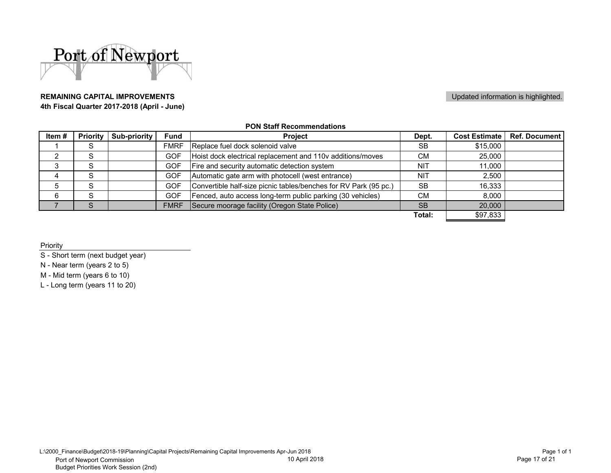

### **REMAINING CAPITAL IMPROVEMENTS4th Fiscal Quarter 2017-2018 (April - June)**

### Updated information is highlighted.

### **PON Staff Recommendations**

| Item# | <b>Priority</b> | <b>Sub-priority</b> | <b>Fund</b> | <b>Project</b>                                                   | Dept.      | <b>Cost Estimate</b> | <b>Ref. Document</b> |
|-------|-----------------|---------------------|-------------|------------------------------------------------------------------|------------|----------------------|----------------------|
|       | S               |                     | <b>FMRF</b> | Replace fuel dock solenoid valve                                 | <b>SB</b>  | \$15,000             |                      |
|       | c               |                     | <b>GOF</b>  | Hoist dock electrical replacement and 110v additions/moves       | <b>CM</b>  | 25,000               |                      |
|       | c               |                     | <b>GOF</b>  | Fire and security automatic detection system                     | <b>NIT</b> | 11,000               |                      |
| 4     | c               |                     | GOF         | Automatic gate arm with photocell (west entrance)                | NIT        | 2,500                |                      |
|       | c               |                     | <b>GOF</b>  | Convertible half-size picnic tables/benches for RV Park (95 pc.) | <b>SB</b>  | 16,333               |                      |
|       | S               |                     | <b>GOF</b>  | Fenced, auto access long-term public parking (30 vehicles)       | <b>CM</b>  | 8,000                |                      |
|       |                 |                     | <b>FMRF</b> | Secure moorage facility (Oregon State Police)                    | <b>SB</b>  | 20,000               |                      |
|       |                 |                     |             |                                                                  | Total:     | \$97,833             |                      |

Priority

S - Short term (next budget year)

N - Near term (years 2 to 5)

M - Mid term (years 6 to 10)

L - Long term (years 11 to 20)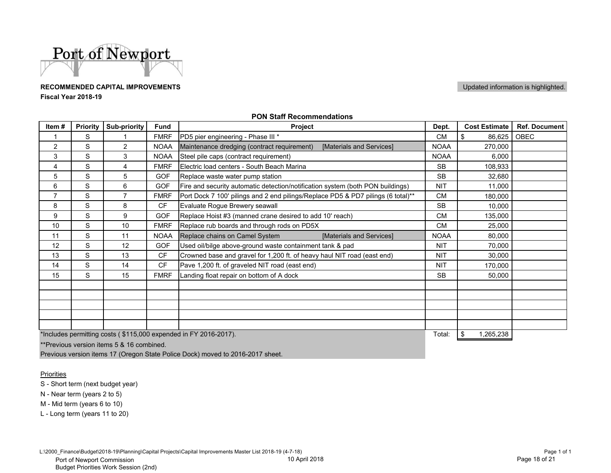

### **RECOMMENDED CAPITAL IMPROVEMENTSFiscal Year 2018-19**

Updated information is highlighted.

| Priority | Sub-priority   | <b>Fund</b> | Project                                                                        | Dept.                                                                                                                                                                                                                                                                                                                                                                                                                                        | <b>Cost Estimate</b> | <b>Ref. Document</b> |
|----------|----------------|-------------|--------------------------------------------------------------------------------|----------------------------------------------------------------------------------------------------------------------------------------------------------------------------------------------------------------------------------------------------------------------------------------------------------------------------------------------------------------------------------------------------------------------------------------------|----------------------|----------------------|
| S        |                | <b>FMRF</b> |                                                                                | <b>CM</b>                                                                                                                                                                                                                                                                                                                                                                                                                                    | \$<br>86,625         | <b>OBEC</b>          |
| S        | $\overline{2}$ | <b>NOAA</b> | [Materials and Services]                                                       | <b>NOAA</b>                                                                                                                                                                                                                                                                                                                                                                                                                                  | 270,000              |                      |
| S        | 3              | <b>NOAA</b> |                                                                                | <b>NOAA</b>                                                                                                                                                                                                                                                                                                                                                                                                                                  | 6,000                |                      |
| S        | 4              | <b>FMRF</b> | Electric load centers - South Beach Marina                                     | <b>SB</b>                                                                                                                                                                                                                                                                                                                                                                                                                                    | 108,933              |                      |
| S        | 5              | <b>GOF</b>  |                                                                                | <b>SB</b>                                                                                                                                                                                                                                                                                                                                                                                                                                    | 32,680               |                      |
| S        | 6              | <b>GOF</b>  | Fire and security automatic detection/notification system (both PON buildings) | <b>NIT</b>                                                                                                                                                                                                                                                                                                                                                                                                                                   | 11,000               |                      |
| S        | 7              | <b>FMRF</b> |                                                                                | <b>CM</b>                                                                                                                                                                                                                                                                                                                                                                                                                                    | 180,000              |                      |
| S        | 8              | <b>CF</b>   | Evaluate Rogue Brewery seawall                                                 | <b>SB</b>                                                                                                                                                                                                                                                                                                                                                                                                                                    | 10,000               |                      |
| S        | 9              | <b>GOF</b>  |                                                                                | <b>CM</b>                                                                                                                                                                                                                                                                                                                                                                                                                                    | 135,000              |                      |
| S        | 10             | <b>FMRF</b> |                                                                                | <b>CM</b>                                                                                                                                                                                                                                                                                                                                                                                                                                    | 25,000               |                      |
| S        | 11             | <b>NOAA</b> | [Materials and Services]                                                       | <b>NOAA</b>                                                                                                                                                                                                                                                                                                                                                                                                                                  | 80,000               |                      |
| S        | 12             | <b>GOF</b>  | Used oil/bilge above-ground waste containment tank & pad                       | <b>NIT</b>                                                                                                                                                                                                                                                                                                                                                                                                                                   | 70,000               |                      |
| S        | 13             | <b>CF</b>   | Crowned base and gravel for 1,200 ft. of heavy haul NIT road (east end)        | <b>NIT</b>                                                                                                                                                                                                                                                                                                                                                                                                                                   | 30,000               |                      |
| S        | 14             | <b>CF</b>   | Pave 1,200 ft. of graveled NIT road (east end)                                 | <b>NIT</b>                                                                                                                                                                                                                                                                                                                                                                                                                                   | 170,000              |                      |
| S        | 15             | <b>FMRF</b> |                                                                                | <b>SB</b>                                                                                                                                                                                                                                                                                                                                                                                                                                    | 50,000               |                      |
|          |                |             |                                                                                |                                                                                                                                                                                                                                                                                                                                                                                                                                              |                      |                      |
|          |                |             |                                                                                |                                                                                                                                                                                                                                                                                                                                                                                                                                              |                      |                      |
|          |                |             |                                                                                |                                                                                                                                                                                                                                                                                                                                                                                                                                              |                      |                      |
|          |                |             |                                                                                |                                                                                                                                                                                                                                                                                                                                                                                                                                              |                      |                      |
|          |                |             |                                                                                |                                                                                                                                                                                                                                                                                                                                                                                                                                              |                      |                      |
|          |                |             |                                                                                | PD5 pier engineering - Phase III *<br>Maintenance dredging (contract requirement)<br>Steel pile caps (contract requirement)<br>Replace waste water pump station<br>Port Dock 7 100' pilings and 2 end pilings/Replace PD5 & PD7 pilings (6 total)**<br>Replace Hoist #3 (manned crane desired to add 10' reach)<br>Replace rub boards and through rods on PD5X<br>Replace chains on Camel System<br>Landing float repair on bottom of A dock |                      |                      |

### **PON Staff Recommendations**

\*Includes permitting costs ( \$115,000 expended in FY 2016-2017).

\*\*Previous version items 5 & 16 combined.

Previous version items 17 (Oregon State Police Dock) moved to 2016-2017 sheet.

**Priorities** 

S - Short term (next budget year)

N - Near term (years 2 to 5)

M - Mid term (years 6 to 10)

L - Long term (years 11 to 20)

L:\2000\_Finance\Budget\2018-19\Planning\Capital Projects\Capital Improvements Master List 2018-19 (4-7-18)

. Total:  $\frac{\$}{\$}$  1,265,238  $\frac{\$}{\$}$  1,265,238  $\frac{\$}{\$}$  1,265,238  $\frac{\$}{\$}$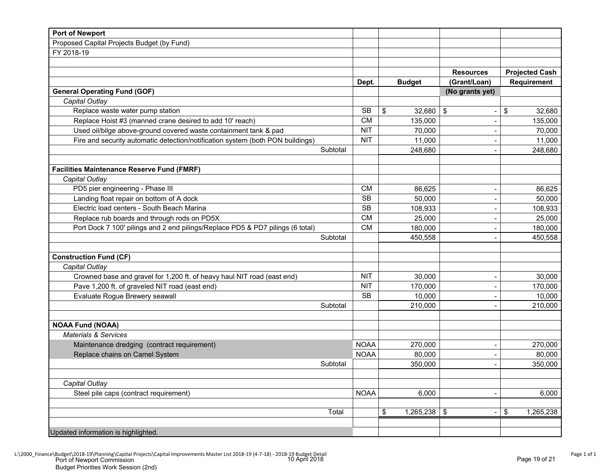| <b>Port of Newport</b>                                                         |             |                      |                  |                       |
|--------------------------------------------------------------------------------|-------------|----------------------|------------------|-----------------------|
| Proposed Capital Projects Budget (by Fund)                                     |             |                      |                  |                       |
| FY 2018-19                                                                     |             |                      |                  |                       |
|                                                                                |             |                      |                  |                       |
|                                                                                |             |                      | <b>Resources</b> | <b>Projected Cash</b> |
|                                                                                | Dept.       | <b>Budget</b>        | (Grant/Loan)     | <b>Requirement</b>    |
| <b>General Operating Fund (GOF)</b>                                            |             |                      | (No grants yet)  |                       |
| Capital Outlay                                                                 |             |                      |                  |                       |
| Replace waste water pump station                                               | <b>SB</b>   | 32,680<br>\$         | \$               | \$<br>32,680          |
| Replace Hoist #3 (manned crane desired to add 10' reach)                       | <b>CM</b>   | 135,000              |                  | 135,000               |
| Used oil/bilge above-ground covered waste containment tank & pad               | <b>NIT</b>  | 70,000               | $\overline{a}$   | 70,000                |
| Fire and security automatic detection/notification system (both PON buildings) | <b>NIT</b>  | 11,000               |                  | 11,000                |
| Subtotal                                                                       |             | 248,680              |                  | 248,680               |
|                                                                                |             |                      |                  |                       |
| <b>Facilities Maintenance Reserve Fund (FMRF)</b>                              |             |                      |                  |                       |
| Capital Outlay                                                                 |             |                      |                  |                       |
| PD5 pier engineering - Phase III                                               | <b>CM</b>   | 86,625               |                  | 86,625                |
| Landing float repair on bottom of A dock                                       | <b>SB</b>   | 50,000               |                  | 50,000                |
| Electric load centers - South Beach Marina                                     | <b>SB</b>   | 108,933              |                  | 108,933               |
| Replace rub boards and through rods on PD5X                                    | <b>CM</b>   | 25,000               |                  | 25,000                |
| Port Dock 7 100' pilings and 2 end pilings/Replace PD5 & PD7 pilings (6 total) | <b>CM</b>   | 180,000              |                  | 180,000               |
| Subtotal                                                                       |             | 450,558              |                  | 450,558               |
| <b>Construction Fund (CF)</b>                                                  |             |                      |                  |                       |
| Capital Outlay                                                                 |             |                      |                  |                       |
| Crowned base and gravel for 1,200 ft. of heavy haul NIT road (east end)        | <b>NIT</b>  | 30,000               |                  | 30,000                |
| Pave 1,200 ft. of graveled NIT road (east end)                                 | <b>NIT</b>  | 170,000              |                  | 170,000               |
| Evaluate Rogue Brewery seawall                                                 | <b>SB</b>   | 10,000               |                  | 10,000                |
| Subtotal                                                                       |             | 210,000              |                  | 210,000               |
|                                                                                |             |                      |                  |                       |
| <b>NOAA Fund (NOAA)</b>                                                        |             |                      |                  |                       |
| <b>Materials &amp; Services</b>                                                |             |                      |                  |                       |
| Maintenance dredging (contract requirement)                                    | <b>NOAA</b> | 270,000              |                  | 270,000               |
| Replace chains on Camel System                                                 | <b>NOAA</b> | 80,000               |                  | 80,000                |
| Subtotal                                                                       |             | 350,000              |                  | 350,000               |
|                                                                                |             |                      |                  |                       |
| Capital Outlay                                                                 |             |                      |                  |                       |
| Steel pile caps (contract requirement)                                         | <b>NOAA</b> | 6,000                |                  | 6,000                 |
| Total                                                                          |             | $1,265,238$ \$<br>\$ |                  | \$<br>1,265,238       |
|                                                                                |             |                      |                  |                       |
| Updated information is highlighted.                                            |             |                      |                  |                       |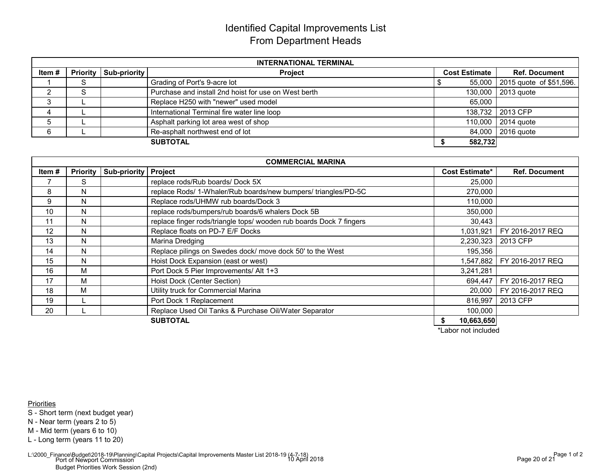# Identified Capital Improvements ListFrom Department Heads

| <b>INTERNATIONAL TERMINAL</b> |        |                                  |                                                      |                      |                                |  |  |  |  |  |  |
|-------------------------------|--------|----------------------------------|------------------------------------------------------|----------------------|--------------------------------|--|--|--|--|--|--|
| Item#                         |        | <b>Priority   Sub-priority  </b> | <b>Project</b>                                       | <b>Cost Estimate</b> | <b>Ref. Document</b>           |  |  |  |  |  |  |
|                               | c<br>っ |                                  | Grading of Port's 9-acre lot                         |                      | 55,000 2015 quote of \$51,596. |  |  |  |  |  |  |
|                               | c      |                                  | Purchase and install 2nd hoist for use on West berth |                      | 130,000 2013 quote             |  |  |  |  |  |  |
|                               |        |                                  | Replace H250 with "newer" used model                 | 65,000               |                                |  |  |  |  |  |  |
|                               |        |                                  | International Terminal fire water line loop          |                      | 138,732 2013 CFP               |  |  |  |  |  |  |
|                               |        |                                  | Asphalt parking lot area west of shop                |                      | 110,000 2014 quote             |  |  |  |  |  |  |
| ĥ                             |        |                                  | Re-asphalt northwest end of lot                      |                      | 84,000 2016 quote              |  |  |  |  |  |  |
|                               |        |                                  | <b>SUBTOTAL</b>                                      | 582,732              |                                |  |  |  |  |  |  |

|          | <b>COMMERCIAL MARINA</b> |                             |                                                                     |                       |                      |  |  |  |  |  |  |
|----------|--------------------------|-----------------------------|---------------------------------------------------------------------|-----------------------|----------------------|--|--|--|--|--|--|
| Item $#$ | <b>Priority</b>          | <b>Sub-priority Project</b> |                                                                     | <b>Cost Estimate*</b> | <b>Ref. Document</b> |  |  |  |  |  |  |
|          | S                        |                             | replace rods/Rub boards/Dock 5X                                     | 25,000                |                      |  |  |  |  |  |  |
| 8        | N                        |                             | replace Rods/ 1-Whaler/Rub boards/new bumpers/ triangles/PD-5C      | 270,000               |                      |  |  |  |  |  |  |
| 9        | N                        |                             | Replace rods/UHMW rub boards/Dock 3                                 | 110,000               |                      |  |  |  |  |  |  |
| 10       | N                        |                             | replace rods/bumpers/rub boards/6 whalers Dock 5B                   | 350,000               |                      |  |  |  |  |  |  |
| 11       | N                        |                             | replace finger rods/triangle tops/ wooden rub boards Dock 7 fingers | 30,443                |                      |  |  |  |  |  |  |
| 12       | N                        |                             | Replace floats on PD-7 E/F Docks                                    | 1,031,921             | FY 2016-2017 REQ     |  |  |  |  |  |  |
| 13       | N                        |                             | Marina Dredging                                                     | 2,230,323             | 2013 CFP             |  |  |  |  |  |  |
| 14       | N                        |                             | Replace pilings on Swedes dock/ move dock 50' to the West           | 195,356               |                      |  |  |  |  |  |  |
| 15       | N                        |                             | Hoist Dock Expansion (east or west)                                 | 1,547,882             | FY 2016-2017 REQ     |  |  |  |  |  |  |
| 16       | M                        |                             | Port Dock 5 Pier Improvements/ Alt 1+3                              | 3,241,281             |                      |  |  |  |  |  |  |
| 17       | М                        |                             | Hoist Dock (Center Section)                                         | 694,447               | FY 2016-2017 REQ     |  |  |  |  |  |  |
| 18       | M                        |                             | Utility truck for Commercial Marina                                 | 20,000                | FY 2016-2017 REQ     |  |  |  |  |  |  |
| 19       |                          |                             | Port Dock 1 Replacement                                             | 816,997               | 2013 CFP             |  |  |  |  |  |  |
| 20       |                          |                             | Replace Used Oil Tanks & Purchase Oil/Water Separator               | 100,000               |                      |  |  |  |  |  |  |
|          |                          |                             | <b>SUBTOTAL</b>                                                     | 10,663,650            |                      |  |  |  |  |  |  |

\*Labor not included

**Priorities** 

S - Short term (next budget year)

N - Near term (years 2 to 5)

M - Mid term (years 6 to 10)

L - Long term (years 11 to 20)